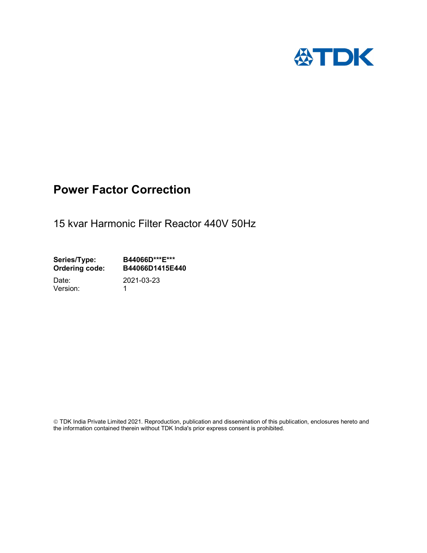

# Power Factor Correction

15 kvar Harmonic Filter Reactor 440V 50Hz

Series/Type: B44066D\*\*\*E\*\*\*<br>Ordering code: B44066D1415E4 B44066D1415E440

Version: 1

Date: 2021-03-23

 TDK India Private Limited 2021. Reproduction, publication and dissemination of this publication, enclosures hereto and the information contained therein without TDK India's prior express consent is prohibited.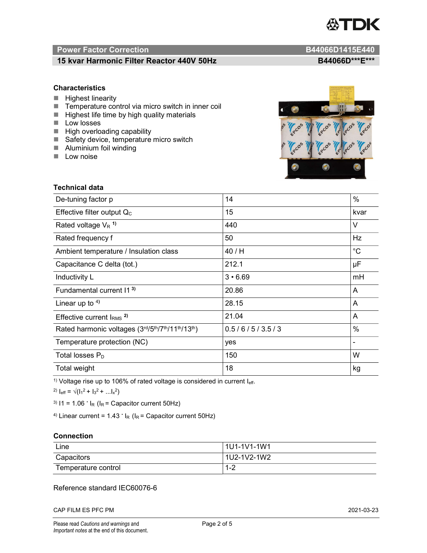

# Power Factor Correction and B44066D1415E440

# 15 kvar Harmonic Filter Reactor 440V 50Hz BA4066D\*\*\*E\*\*\*

### **Characteristics**

- $H$  Highest linearity
- Temperature control via micro switch in inner coil
- $\blacksquare$  Highest life time by high quality materials
- **Low** losses
- $\blacksquare$  High overloading capability
- Safety device, temperature micro switch
- **Aluminium foil winding**
- **Low noise**

Technical data



| De-tuning factor p                              | 14             | $\%$        |
|-------------------------------------------------|----------------|-------------|
| Effective filter output $Q_C$                   | 15             | kvar        |
| Rated voltage $V_R$ <sup>1)</sup>               | 440            | V           |
| Rated frequency f                               | 50             | Hz          |
| Ambient temperature / Insulation class          | 40 / H         | $^{\circ}C$ |
| Capacitance C delta (tot.)                      | 212.1          | μF          |
| Inductivity L                                   | $3 \cdot 6.69$ | mH          |
| Fundamental current 11 <sup>3)</sup>            | 20.86          | A           |
| Linear up to $4$ )                              | 28.15          | A           |
| Effective current $IRMS$ <sup>2)</sup>          | 21.04          | A           |
| Rated harmonic voltages (3rd/5th/7th/11th/13th) | 0.5/6/5/3.5/3  | $\%$        |
| Temperature protection (NC)                     | yes            |             |
| Total losses $P_D$                              | 150            | W           |
| Total weight                                    | 18             | kg          |

<sup>1)</sup> Voltage rise up to 106% of rated voltage is considered in current  $I_{\text{eff}}$ .

<sup>2)</sup>  $I_{eff} = \sqrt{(I_1^2 + I_3^2 + ... I_x^2)}$ 

<sup>3)</sup>  $11 = 1.06$   $\cdot$   $I_R$  ( $I_R$  = Capacitor current 50Hz)

<sup>4)</sup> Linear current =  $1.43$   $\cdot$  I<sub>R</sub> (I<sub>R</sub> = Capacitor current 50Hz)

#### **Connection**

| Line                | l 1U1-1V1-1W1       |
|---------------------|---------------------|
| Capacitors          | l 1U2-1V2-1W2       |
| Temperature control | <u> 4 ຕ</u><br>ے- ا |

### Reference standard IEC60076-6

CAP FILM ES PFC PM 2021-03-23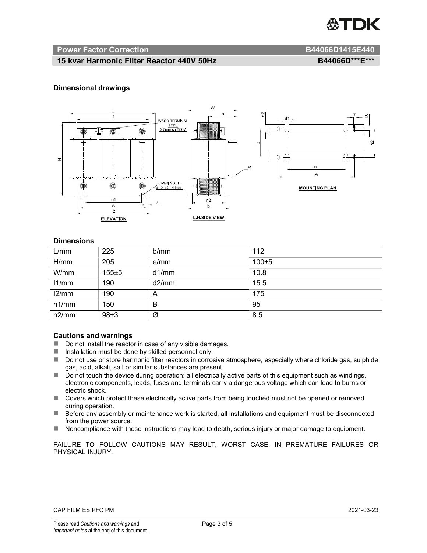

#### Power Factor Correction and B44066D1415E440

# 15 kvar Harmonic Filter Reactor 440V 50Hz BA4066D\*\*\*E\*\*\*

#### Dimensional drawings



#### **Dimensions**

| L/mm  | 225   | b/mm  | 112       |
|-------|-------|-------|-----------|
| H/mm  | 205   | e/mm  | $100\pm5$ |
| W/mm  | 155±5 | d1/mm | 10.8      |
| 11/mm | 190   | d2/mm | 15.5      |
| 12/mm | 190   | A     | 175       |
| n1/mm | 150   | В     | 95        |
| n2/mm | 98±3  | Ø     | 8.5       |

#### Cautions and warnings

- Do not install the reactor in case of any visible damages.
- Installation must be done by skilled personnel only.
- Do not use or store harmonic filter reactors in corrosive atmosphere, especially where chloride gas, sulphide gas, acid, alkali, salt or similar substances are present.
- Do not touch the device during operation: all electrically active parts of this equipment such as windings, electronic components, leads, fuses and terminals carry a dangerous voltage which can lead to burns or electric shock.
- Covers which protect these electrically active parts from being touched must not be opened or removed during operation.
- Before any assembly or maintenance work is started, all installations and equipment must be disconnected from the power source.
- Noncompliance with these instructions may lead to death, serious injury or major damage to equipment.

FAILURE TO FOLLOW CAUTIONS MAY RESULT, WORST CASE, IN PREMATURE FAILURES OR PHYSICAL INJURY.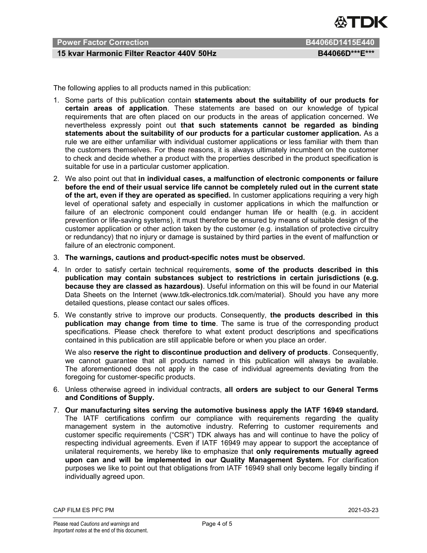

# Power Factor Correction B44066D1415E440

# 15 kvar Harmonic Filter Reactor 440V 50Hz BA4066D\*\*\*E\*\*\*

The following applies to all products named in this publication:

- 1. Some parts of this publication contain statements about the suitability of our products for certain areas of application. These statements are based on our knowledge of typical requirements that are often placed on our products in the areas of application concerned. We nevertheless expressly point out that such statements cannot be regarded as binding statements about the suitability of our products for a particular customer application. As a rule we are either unfamiliar with individual customer applications or less familiar with them than the customers themselves. For these reasons, it is always ultimately incumbent on the customer to check and decide whether a product with the properties described in the product specification is suitable for use in a particular customer application.
- 2. We also point out that in individual cases, a malfunction of electronic components or failure before the end of their usual service life cannot be completely ruled out in the current state of the art, even if they are operated as specified. In customer applications requiring a very high level of operational safety and especially in customer applications in which the malfunction or failure of an electronic component could endanger human life or health (e.g. in accident prevention or life-saving systems), it must therefore be ensured by means of suitable design of the customer application or other action taken by the customer (e.g. installation of protective circuitry or redundancy) that no injury or damage is sustained by third parties in the event of malfunction or failure of an electronic component.
- 3. The warnings, cautions and product-specific notes must be observed.
- 4. In order to satisfy certain technical requirements, some of the products described in this publication may contain substances subject to restrictions in certain jurisdictions (e.g. because they are classed as hazardous). Useful information on this will be found in our Material Data Sheets on the Internet (www.tdk-electronics.tdk.com/material). Should you have any more detailed questions, please contact our sales offices.
- 5. We constantly strive to improve our products. Consequently, the products described in this publication may change from time to time. The same is true of the corresponding product specifications. Please check therefore to what extent product descriptions and specifications contained in this publication are still applicable before or when you place an order.

We also reserve the right to discontinue production and delivery of products. Consequently, we cannot guarantee that all products named in this publication will always be available. The aforementioned does not apply in the case of individual agreements deviating from the foregoing for customer-specific products.

- 6. Unless otherwise agreed in individual contracts, all orders are subject to our General Terms and Conditions of Supply.
- 7. Our manufacturing sites serving the automotive business apply the IATF 16949 standard. The IATF certifications confirm our compliance with requirements regarding the quality management system in the automotive industry. Referring to customer requirements and customer specific requirements ("CSR") TDK always has and will continue to have the policy of respecting individual agreements. Even if IATF 16949 may appear to support the acceptance of unilateral requirements, we hereby like to emphasize that only requirements mutually agreed upon can and will be implemented in our Quality Management System. For clarification purposes we like to point out that obligations from IATF 16949 shall only become legally binding if individually agreed upon.